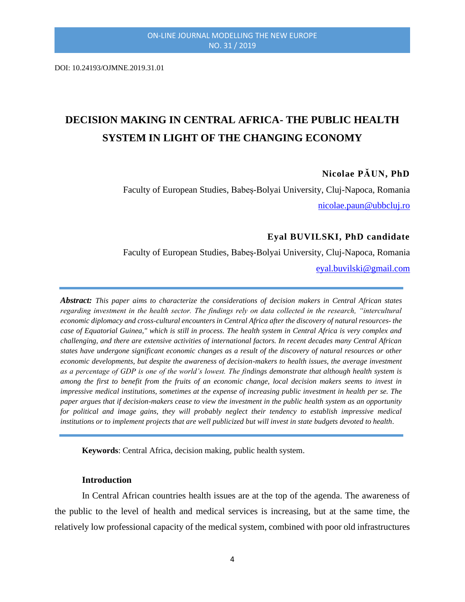DOI: 10.24193/OJMNE.2019.31.01

# **DECISION MAKING IN CENTRAL AFRICA- THE PUBLIC HEALTH SYSTEM IN LIGHT OF THE CHANGING ECONOMY**

## **Nicolae PĂUN, PhD**

Faculty of European Studies, Babeș-Bolyai University, Cluj-Napoca, Romania [nicolae.paun@ubbcluj.ro](mailto:nicolae.paun@ubbcluj.ro)

# **Eyal BUVILSKI, PhD candidate**

Faculty of European Studies, Babeș-Bolyai University, Cluj-Napoca, Romania

[eyal.buvilski@gmail.com](mailto:eyal.buvilski@gmail.com)

*Abstract: This paper aims to characterize the considerations of decision makers in Central African states regarding investment in the health sector. The findings rely on data collected in the research, "intercultural economic diplomacy and cross-cultural encounters in Central Africa after the discovery of natural resources- the case of Equatorial Guinea," which is still in process. The health system in Central Africa is very complex and challenging, and there are extensive activities of international factors. In recent decades many Central African states have undergone significant economic changes as a result of the discovery of natural resources or other economic developments, but despite the awareness of decision-makers to health issues, the average investment as a percentage of GDP is one of the world's lowest. The findings demonstrate that although health system is among the first to benefit from the fruits of an economic change, local decision makers seems to invest in impressive medical institutions, sometimes at the expense of increasing public investment in health per se. The paper argues that if decision-makers cease to view the investment in the public health system as an opportunity for political and image gains, they will probably neglect their tendency to establish impressive medical institutions or to implement projects that are well publicized but will invest in state budgets devoted to health.*

**Keywords**: Central Africa, decision making, public health system.

#### **Introduction**

In Central African countries health issues are at the top of the agenda. The awareness of the public to the level of health and medical services is increasing, but at the same time, the relatively low professional capacity of the medical system, combined with poor old infrastructures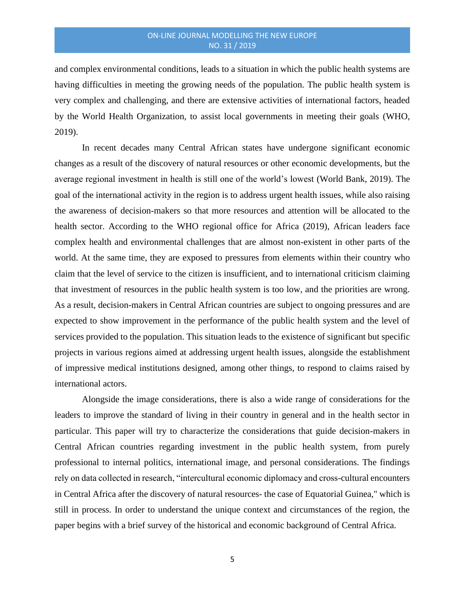and complex environmental conditions, leads to a situation in which the public health systems are having difficulties in meeting the growing needs of the population. The public health system is very complex and challenging, and there are extensive activities of international factors, headed by the World Health Organization, to assist local governments in meeting their goals (WHO, 2019).

In recent decades many Central African states have undergone significant economic changes as a result of the discovery of natural resources or other economic developments, but the average regional investment in health is still one of the world's lowest (World Bank, 2019). The goal of the international activity in the region is to address urgent health issues, while also raising the awareness of decision-makers so that more resources and attention will be allocated to the health sector. According to the WHO regional office for Africa (2019), African leaders face complex health and environmental challenges that are almost non-existent in other parts of the world. At the same time, they are exposed to pressures from elements within their country who claim that the level of service to the citizen is insufficient, and to international criticism claiming that investment of resources in the public health system is too low, and the priorities are wrong. As a result, decision-makers in Central African countries are subject to ongoing pressures and are expected to show improvement in the performance of the public health system and the level of services provided to the population. This situation leads to the existence of significant but specific projects in various regions aimed at addressing urgent health issues, alongside the establishment of impressive medical institutions designed, among other things, to respond to claims raised by international actors.

Alongside the image considerations, there is also a wide range of considerations for the leaders to improve the standard of living in their country in general and in the health sector in particular. This paper will try to characterize the considerations that guide decision-makers in Central African countries regarding investment in the public health system, from purely professional to internal politics, international image, and personal considerations. The findings rely on data collected in research, "intercultural economic diplomacy and cross-cultural encounters in Central Africa after the discovery of natural resources- the case of Equatorial Guinea," which is still in process. In order to understand the unique context and circumstances of the region, the paper begins with a brief survey of the historical and economic background of Central Africa.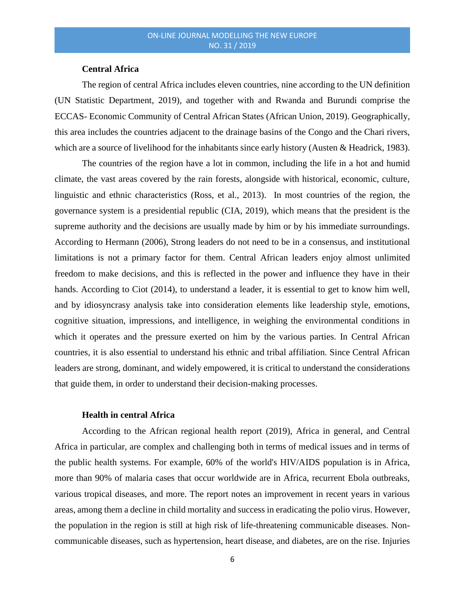# **Central Africa**

The region of central Africa includes eleven countries, nine according to the UN definition (UN Statistic Department, 2019), and together with and Rwanda and Burundi comprise the ECCAS- Economic Community of Central African States (African Union, 2019). Geographically, this area includes the countries adjacent to the drainage basins of the Congo and the Chari rivers, which are a source of livelihood for the inhabitants since early history (Austen & Headrick, 1983).

The countries of the region have a lot in common, including the life in a hot and humid climate, the vast areas covered by the rain forests, alongside with historical, economic, culture, linguistic and ethnic characteristics (Ross, et al., 2013). In most countries of the region, the governance system is a presidential republic (CIA, 2019), which means that the president is the supreme authority and the decisions are usually made by him or by his immediate surroundings. According to Hermann (2006), Strong leaders do not need to be in a consensus, and institutional limitations is not a primary factor for them. Central African leaders enjoy almost unlimited freedom to make decisions, and this is reflected in the power and influence they have in their hands. According to Ciot (2014), to understand a leader, it is essential to get to know him well, and by idiosyncrasy analysis take into consideration elements like leadership style, emotions, cognitive situation, impressions, and intelligence, in weighing the environmental conditions in which it operates and the pressure exerted on him by the various parties. In Central African countries, it is also essential to understand his ethnic and tribal affiliation. Since Central African leaders are strong, dominant, and widely empowered, it is critical to understand the considerations that guide them, in order to understand their decision-making processes.

## **Health in central Africa**

According to the African regional health report (2019), Africa in general, and Central Africa in particular, are complex and challenging both in terms of medical issues and in terms of the public health systems. For example, 60% of the world's HIV/AIDS population is in Africa, more than 90% of malaria cases that occur worldwide are in Africa, recurrent Ebola outbreaks, various tropical diseases, and more. The report notes an improvement in recent years in various areas, among them a decline in child mortality and success in eradicating the polio virus. However, the population in the region is still at high risk of life-threatening communicable diseases. Noncommunicable diseases, such as hypertension, heart disease, and diabetes, are on the rise. Injuries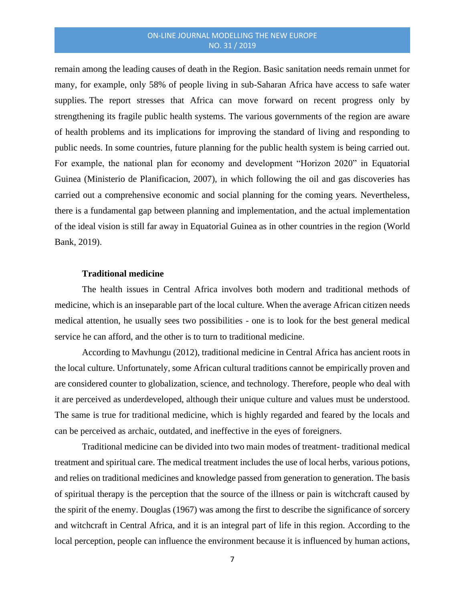remain among the leading causes of death in the Region. Basic sanitation needs remain unmet for many, for example, only 58% of people living in sub-Saharan Africa have access to safe water supplies. The report stresses that Africa can move forward on recent progress only by strengthening its fragile public health systems. The various governments of the region are aware of health problems and its implications for improving the standard of living and responding to public needs. In some countries, future planning for the public health system is being carried out. For example, the national plan for economy and development "Horizon 2020" in Equatorial Guinea (Ministerio de Planificacion, 2007), in which following the oil and gas discoveries has carried out a comprehensive economic and social planning for the coming years. Nevertheless, there is a fundamental gap between planning and implementation, and the actual implementation of the ideal vision is still far away in Equatorial Guinea as in other countries in the region (World Bank, 2019).

#### **Traditional medicine**

The health issues in Central Africa involves both modern and traditional methods of medicine, which is an inseparable part of the local culture. When the average African citizen needs medical attention, he usually sees two possibilities - one is to look for the best general medical service he can afford, and the other is to turn to traditional medicine.

According to Mavhungu (2012), traditional medicine in Central Africa has ancient roots in the local culture. Unfortunately, some African cultural traditions cannot be empirically proven and are considered counter to globalization, science, and technology. Therefore, people who deal with it are perceived as underdeveloped, although their unique culture and values must be understood. The same is true for traditional medicine, which is highly regarded and feared by the locals and can be perceived as archaic, outdated, and ineffective in the eyes of foreigners.

Traditional medicine can be divided into two main modes of treatment- traditional medical treatment and spiritual care. The medical treatment includes the use of local herbs, various potions, and relies on traditional medicines and knowledge passed from generation to generation. The basis of spiritual therapy is the perception that the source of the illness or pain is witchcraft caused by the spirit of the enemy. Douglas (1967) was among the first to describe the significance of sorcery and witchcraft in Central Africa, and it is an integral part of life in this region. According to the local perception, people can influence the environment because it is influenced by human actions,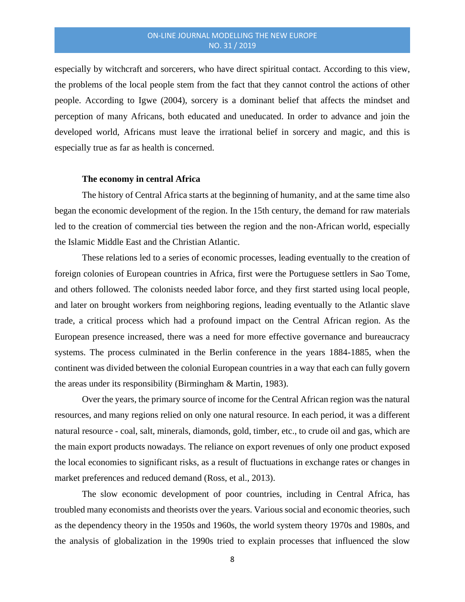especially by witchcraft and sorcerers, who have direct spiritual contact. According to this view, the problems of the local people stem from the fact that they cannot control the actions of other people. According to Igwe (2004), sorcery is a dominant belief that affects the mindset and perception of many Africans, both educated and uneducated. In order to advance and join the developed world, Africans must leave the irrational belief in sorcery and magic, and this is especially true as far as health is concerned.

#### **The economy in central Africa**

The history of Central Africa starts at the beginning of humanity, and at the same time also began the economic development of the region. In the 15th century, the demand for raw materials led to the creation of commercial ties between the region and the non-African world, especially the Islamic Middle East and the Christian Atlantic.

These relations led to a series of economic processes, leading eventually to the creation of foreign colonies of European countries in Africa, first were the Portuguese settlers in Sao Tome, and others followed. The colonists needed labor force, and they first started using local people, and later on brought workers from neighboring regions, leading eventually to the Atlantic slave trade, a critical process which had a profound impact on the Central African region. As the European presence increased, there was a need for more effective governance and bureaucracy systems. The process culminated in the Berlin conference in the years 1884-1885, when the continent was divided between the colonial European countries in a way that each can fully govern the areas under its responsibility (Birmingham & Martin, 1983).

Over the years, the primary source of income for the Central African region was the natural resources, and many regions relied on only one natural resource. In each period, it was a different natural resource - coal, salt, minerals, diamonds, gold, timber, etc., to crude oil and gas, which are the main export products nowadays. The reliance on export revenues of only one product exposed the local economies to significant risks, as a result of fluctuations in exchange rates or changes in market preferences and reduced demand (Ross, et al., 2013).

The slow economic development of poor countries, including in Central Africa, has troubled many economists and theorists over the years. Various social and economic theories, such as the dependency theory in the 1950s and 1960s, the world system theory 1970s and 1980s, and the analysis of globalization in the 1990s tried to explain processes that influenced the slow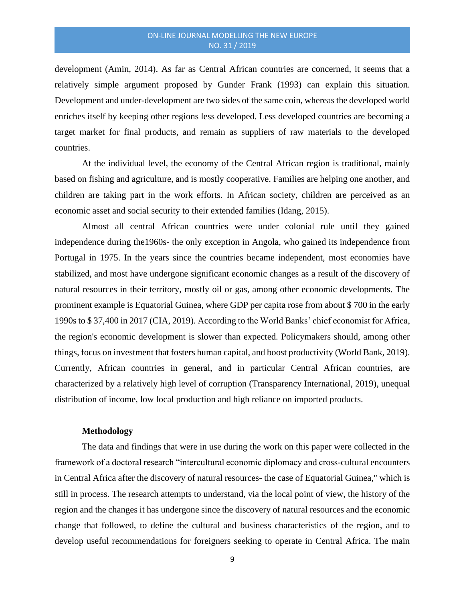development (Amin, 2014). As far as Central African countries are concerned, it seems that a relatively simple argument proposed by Gunder Frank (1993) can explain this situation. Development and under-development are two sides of the same coin, whereas the developed world enriches itself by keeping other regions less developed. Less developed countries are becoming a target market for final products, and remain as suppliers of raw materials to the developed countries.

At the individual level, the economy of the Central African region is traditional, mainly based on fishing and agriculture, and is mostly cooperative. Families are helping one another, and children are taking part in the work efforts. In African society, children are perceived as an economic asset and social security to their extended families (Idang, 2015).

Almost all central African countries were under colonial rule until they gained independence during the1960s- the only exception in Angola, who gained its independence from Portugal in 1975. In the years since the countries became independent, most economies have stabilized, and most have undergone significant economic changes as a result of the discovery of natural resources in their territory, mostly oil or gas, among other economic developments. The prominent example is Equatorial Guinea, where GDP per capita rose from about \$ 700 in the early 1990s to \$ 37,400 in 2017 (CIA, 2019). According to the World Banks' chief economist for Africa, the region's economic development is slower than expected. Policymakers should, among other things, focus on investment that fosters human capital, and boost productivity (World Bank, 2019). Currently, African countries in general, and in particular Central African countries, are characterized by a relatively high level of corruption (Transparency International, 2019), unequal distribution of income, low local production and high reliance on imported products.

### **Methodology**

The data and findings that were in use during the work on this paper were collected in the framework of a doctoral research "intercultural economic diplomacy and cross-cultural encounters in Central Africa after the discovery of natural resources- the case of Equatorial Guinea," which is still in process. The research attempts to understand, via the local point of view, the history of the region and the changes it has undergone since the discovery of natural resources and the economic change that followed, to define the cultural and business characteristics of the region, and to develop useful recommendations for foreigners seeking to operate in Central Africa. The main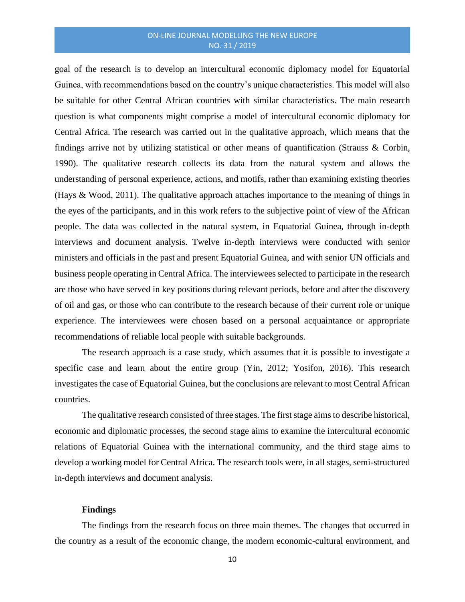goal of the research is to develop an intercultural economic diplomacy model for Equatorial Guinea, with recommendations based on the country's unique characteristics. This model will also be suitable for other Central African countries with similar characteristics. The main research question is what components might comprise a model of intercultural economic diplomacy for Central Africa. The research was carried out in the qualitative approach, which means that the findings arrive not by utilizing statistical or other means of quantification (Strauss & Corbin, 1990). The qualitative research collects its data from the natural system and allows the understanding of personal experience, actions, and motifs, rather than examining existing theories (Hays & Wood, 2011). The qualitative approach attaches importance to the meaning of things in the eyes of the participants, and in this work refers to the subjective point of view of the African people. The data was collected in the natural system, in Equatorial Guinea, through in-depth interviews and document analysis. Twelve in-depth interviews were conducted with senior ministers and officials in the past and present Equatorial Guinea, and with senior UN officials and business people operating in Central Africa. The interviewees selected to participate in the research are those who have served in key positions during relevant periods, before and after the discovery of oil and gas, or those who can contribute to the research because of their current role or unique experience. The interviewees were chosen based on a personal acquaintance or appropriate recommendations of reliable local people with suitable backgrounds.

The research approach is a case study, which assumes that it is possible to investigate a specific case and learn about the entire group (Yin, 2012; Yosifon, 2016). This research investigates the case of Equatorial Guinea, but the conclusions are relevant to most Central African countries.

The qualitative research consisted of three stages. The first stage aims to describe historical, economic and diplomatic processes, the second stage aims to examine the intercultural economic relations of Equatorial Guinea with the international community, and the third stage aims to develop a working model for Central Africa. The research tools were, in all stages, semi-structured in-depth interviews and document analysis.

## **Findings**

The findings from the research focus on three main themes. The changes that occurred in the country as a result of the economic change, the modern economic-cultural environment, and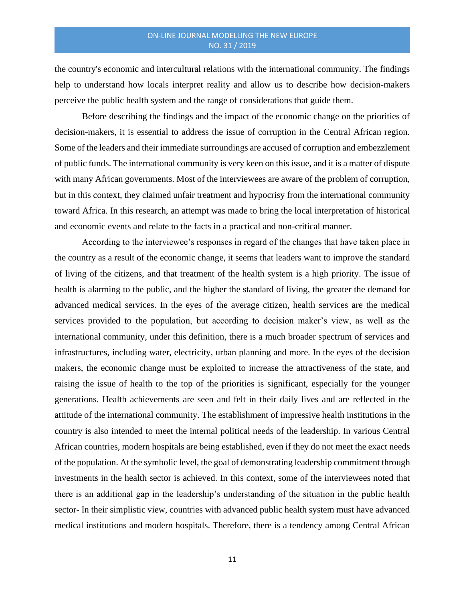the country's economic and intercultural relations with the international community. The findings help to understand how locals interpret reality and allow us to describe how decision-makers perceive the public health system and the range of considerations that guide them.

Before describing the findings and the impact of the economic change on the priorities of decision-makers, it is essential to address the issue of corruption in the Central African region. Some of the leaders and their immediate surroundings are accused of corruption and embezzlement of public funds. The international community is very keen on this issue, and it is a matter of dispute with many African governments. Most of the interviewees are aware of the problem of corruption, but in this context, they claimed unfair treatment and hypocrisy from the international community toward Africa. In this research, an attempt was made to bring the local interpretation of historical and economic events and relate to the facts in a practical and non-critical manner.

According to the interviewee's responses in regard of the changes that have taken place in the country as a result of the economic change, it seems that leaders want to improve the standard of living of the citizens, and that treatment of the health system is a high priority. The issue of health is alarming to the public, and the higher the standard of living, the greater the demand for advanced medical services. In the eyes of the average citizen, health services are the medical services provided to the population, but according to decision maker's view, as well as the international community, under this definition, there is a much broader spectrum of services and infrastructures, including water, electricity, urban planning and more. In the eyes of the decision makers, the economic change must be exploited to increase the attractiveness of the state, and raising the issue of health to the top of the priorities is significant, especially for the younger generations. Health achievements are seen and felt in their daily lives and are reflected in the attitude of the international community. The establishment of impressive health institutions in the country is also intended to meet the internal political needs of the leadership. In various Central African countries, modern hospitals are being established, even if they do not meet the exact needs of the population. At the symbolic level, the goal of demonstrating leadership commitment through investments in the health sector is achieved. In this context, some of the interviewees noted that there is an additional gap in the leadership's understanding of the situation in the public health sector- In their simplistic view, countries with advanced public health system must have advanced medical institutions and modern hospitals. Therefore, there is a tendency among Central African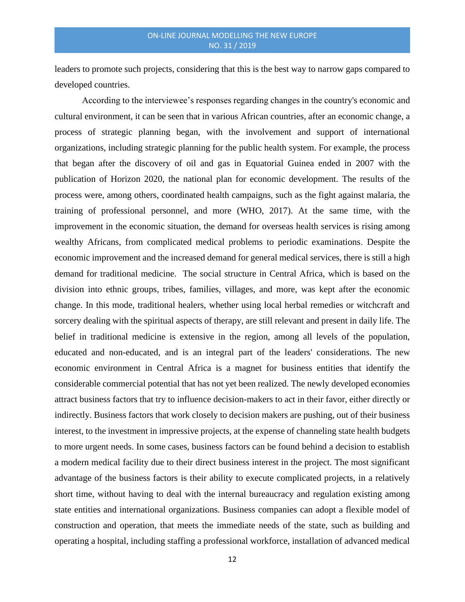leaders to promote such projects, considering that this is the best way to narrow gaps compared to developed countries.

According to the interviewee's responses regarding changes in the country's economic and cultural environment, it can be seen that in various African countries, after an economic change, a process of strategic planning began, with the involvement and support of international organizations, including strategic planning for the public health system. For example, the process that began after the discovery of oil and gas in Equatorial Guinea ended in 2007 with the publication of Horizon 2020, the national plan for economic development. The results of the process were, among others, coordinated health campaigns, such as the fight against malaria, the training of professional personnel, and more (WHO, 2017). At the same time, with the improvement in the economic situation, the demand for overseas health services is rising among wealthy Africans, from complicated medical problems to periodic examinations. Despite the economic improvement and the increased demand for general medical services, there is still a high demand for traditional medicine. The social structure in Central Africa, which is based on the division into ethnic groups, tribes, families, villages, and more, was kept after the economic change. In this mode, traditional healers, whether using local herbal remedies or witchcraft and sorcery dealing with the spiritual aspects of therapy, are still relevant and present in daily life. The belief in traditional medicine is extensive in the region, among all levels of the population, educated and non-educated, and is an integral part of the leaders' considerations. The new economic environment in Central Africa is a magnet for business entities that identify the considerable commercial potential that has not yet been realized. The newly developed economies attract business factors that try to influence decision-makers to act in their favor, either directly or indirectly. Business factors that work closely to decision makers are pushing, out of their business interest, to the investment in impressive projects, at the expense of channeling state health budgets to more urgent needs. In some cases, business factors can be found behind a decision to establish a modern medical facility due to their direct business interest in the project. The most significant advantage of the business factors is their ability to execute complicated projects, in a relatively short time, without having to deal with the internal bureaucracy and regulation existing among state entities and international organizations. Business companies can adopt a flexible model of construction and operation, that meets the immediate needs of the state, such as building and operating a hospital, including staffing a professional workforce, installation of advanced medical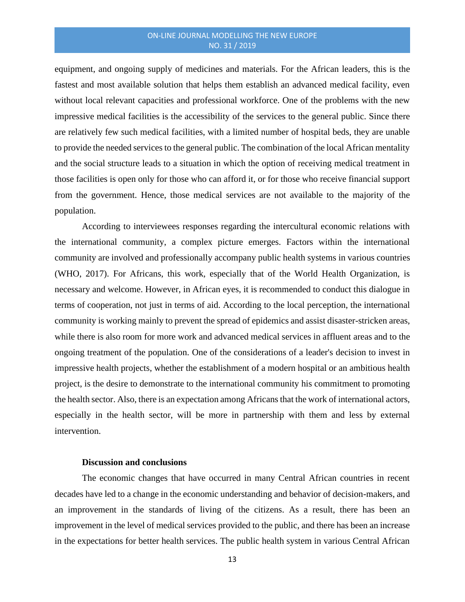equipment, and ongoing supply of medicines and materials. For the African leaders, this is the fastest and most available solution that helps them establish an advanced medical facility, even without local relevant capacities and professional workforce. One of the problems with the new impressive medical facilities is the accessibility of the services to the general public. Since there are relatively few such medical facilities, with a limited number of hospital beds, they are unable to provide the needed services to the general public. The combination of the local African mentality and the social structure leads to a situation in which the option of receiving medical treatment in those facilities is open only for those who can afford it, or for those who receive financial support from the government. Hence, those medical services are not available to the majority of the population.

According to interviewees responses regarding the intercultural economic relations with the international community, a complex picture emerges. Factors within the international community are involved and professionally accompany public health systems in various countries (WHO, 2017). For Africans, this work, especially that of the World Health Organization, is necessary and welcome. However, in African eyes, it is recommended to conduct this dialogue in terms of cooperation, not just in terms of aid. According to the local perception, the international community is working mainly to prevent the spread of epidemics and assist disaster-stricken areas, while there is also room for more work and advanced medical services in affluent areas and to the ongoing treatment of the population. One of the considerations of a leader's decision to invest in impressive health projects, whether the establishment of a modern hospital or an ambitious health project, is the desire to demonstrate to the international community his commitment to promoting the health sector. Also, there is an expectation among Africans that the work of international actors, especially in the health sector, will be more in partnership with them and less by external intervention.

## **Discussion and conclusions**

The economic changes that have occurred in many Central African countries in recent decades have led to a change in the economic understanding and behavior of decision-makers, and an improvement in the standards of living of the citizens. As a result, there has been an improvement in the level of medical services provided to the public, and there has been an increase in the expectations for better health services. The public health system in various Central African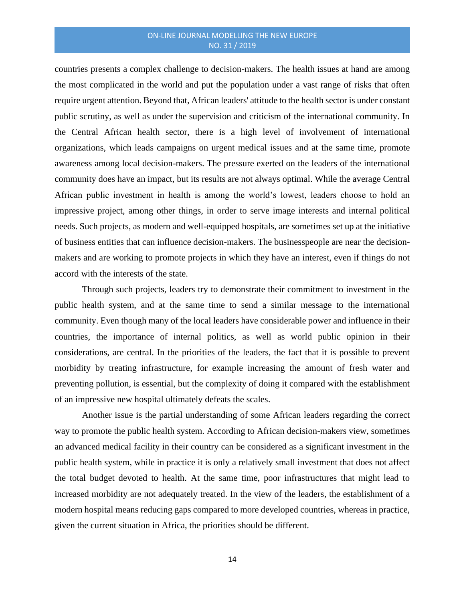countries presents a complex challenge to decision-makers. The health issues at hand are among the most complicated in the world and put the population under a vast range of risks that often require urgent attention. Beyond that, African leaders' attitude to the health sector is under constant public scrutiny, as well as under the supervision and criticism of the international community. In the Central African health sector, there is a high level of involvement of international organizations, which leads campaigns on urgent medical issues and at the same time, promote awareness among local decision-makers. The pressure exerted on the leaders of the international community does have an impact, but its results are not always optimal. While the average Central African public investment in health is among the world's lowest, leaders choose to hold an impressive project, among other things, in order to serve image interests and internal political needs. Such projects, as modern and well-equipped hospitals, are sometimes set up at the initiative of business entities that can influence decision-makers. The businesspeople are near the decisionmakers and are working to promote projects in which they have an interest, even if things do not accord with the interests of the state.

Through such projects, leaders try to demonstrate their commitment to investment in the public health system, and at the same time to send a similar message to the international community. Even though many of the local leaders have considerable power and influence in their countries, the importance of internal politics, as well as world public opinion in their considerations, are central. In the priorities of the leaders, the fact that it is possible to prevent morbidity by treating infrastructure, for example increasing the amount of fresh water and preventing pollution, is essential, but the complexity of doing it compared with the establishment of an impressive new hospital ultimately defeats the scales.

Another issue is the partial understanding of some African leaders regarding the correct way to promote the public health system. According to African decision-makers view, sometimes an advanced medical facility in their country can be considered as a significant investment in the public health system, while in practice it is only a relatively small investment that does not affect the total budget devoted to health. At the same time, poor infrastructures that might lead to increased morbidity are not adequately treated. In the view of the leaders, the establishment of a modern hospital means reducing gaps compared to more developed countries, whereas in practice, given the current situation in Africa, the priorities should be different.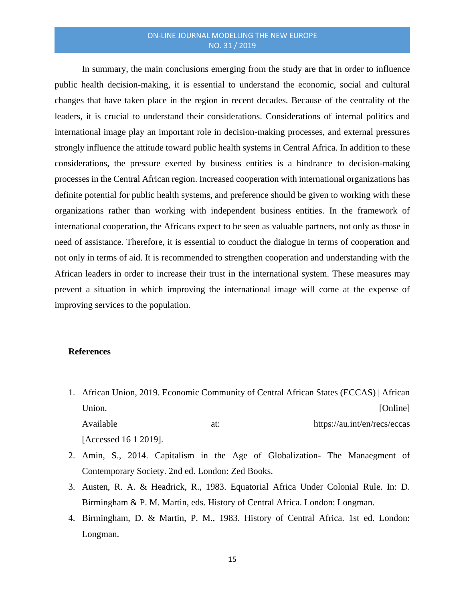In summary, the main conclusions emerging from the study are that in order to influence public health decision-making, it is essential to understand the economic, social and cultural changes that have taken place in the region in recent decades. Because of the centrality of the leaders, it is crucial to understand their considerations. Considerations of internal politics and international image play an important role in decision-making processes, and external pressures strongly influence the attitude toward public health systems in Central Africa. In addition to these considerations, the pressure exerted by business entities is a hindrance to decision-making processes in the Central African region. Increased cooperation with international organizations has definite potential for public health systems, and preference should be given to working with these organizations rather than working with independent business entities. In the framework of international cooperation, the Africans expect to be seen as valuable partners, not only as those in need of assistance. Therefore, it is essential to conduct the dialogue in terms of cooperation and not only in terms of aid. It is recommended to strengthen cooperation and understanding with the African leaders in order to increase their trust in the international system. These measures may prevent a situation in which improving the international image will come at the expense of improving services to the population.

## **References**

- 1. African Union, 2019. Economic Community of Central African States (ECCAS) | African Union. [Online] Available at: https://au.int/en/recs/eccas [Accessed 16 1 2019].
- 2. Amin, S., 2014. Capitalism in the Age of Globalization- The Manaegment of Contemporary Society. 2nd ed. London: Zed Books.
- 3. Austen, R. A. & Headrick, R., 1983. Equatorial Africa Under Colonial Rule. In: D. Birmingham & P. M. Martin, eds. History of Central Africa. London: Longman.
- 4. Birmingham, D. & Martin, P. M., 1983. History of Central Africa. 1st ed. London: Longman.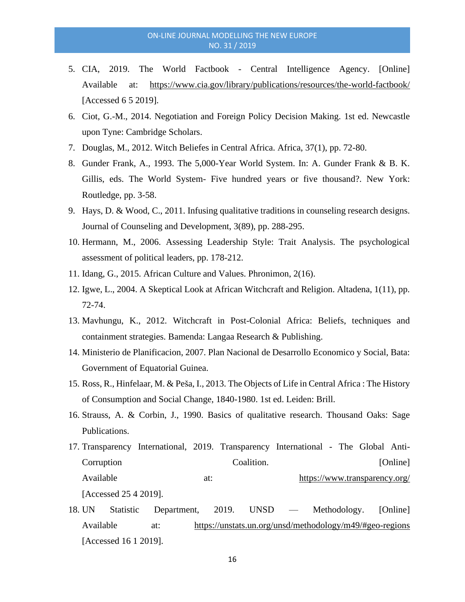- 5. CIA, 2019. The World Factbook Central Intelligence Agency. [Online] Available at: https://www.cia.gov/library/publications/resources/the-world-factbook/ [Accessed 6 5 2019].
- 6. Ciot, G.-M., 2014. Negotiation and Foreign Policy Decision Making. 1st ed. Newcastle upon Tyne: Cambridge Scholars.
- 7. Douglas, M., 2012. Witch Beliefes in Central Africa. Africa, 37(1), pp. 72-80.
- 8. Gunder Frank, A., 1993. The 5,000-Year World System. In: A. Gunder Frank & B. K. Gillis, eds. The World System- Five hundred years or five thousand?. New York: Routledge, pp. 3-58.
- 9. Hays, D. & Wood, C., 2011. Infusing qualitative traditions in counseling research designs. Journal of Counseling and Development, 3(89), pp. 288-295.
- 10. Hermann, M., 2006. Assessing Leadership Style: Trait Analysis. The psychological assessment of political leaders, pp. 178-212.
- 11. Idang, G., 2015. African Culture and Values. Phronimon, 2(16).
- 12. Igwe, L., 2004. A Skeptical Look at African Witchcraft and Religion. Altadena, 1(11), pp. 72-74.
- 13. Mavhungu, K., 2012. Witchcraft in Post-Colonial Africa: Beliefs, techniques and containment strategies. Bamenda: Langaa Research & Publishing.
- 14. Ministerio de Planificacion, 2007. Plan Nacional de Desarrollo Economico y Social, Bata: Government of Equatorial Guinea.
- 15. Ross, R., Hinfelaar, M. & Peša, I., 2013. The Objects of Life in Central Africa : The History of Consumption and Social Change, 1840-1980. 1st ed. Leiden: Brill.
- 16. Strauss, A. & Corbin, J., 1990. Basics of qualitative research. Thousand Oaks: Sage Publications.
- 17. Transparency International, 2019. Transparency International The Global Anti-Corruption Coalition. [Online] Available at: https://www.transparency.org/ [Accessed 25 4 2019].
- 18. UN Statistic Department, 2019. UNSD Methodology. [Online] Available at: https://unstats.un.org/unsd/methodology/m49/#geo-regions [Accessed 16 1 2019].